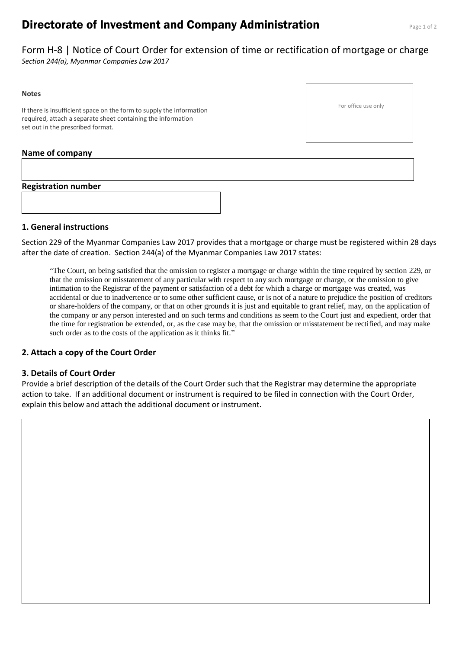# **Directorate of Investment and Company Administration** Page 1 of 2

Form H-8 | Notice of Court Order for extension of time or rectification of mortgage or charge *Section 244(a), Myanmar Companies Law 2017*

#### **Notes**

If there is insufficient space on the form to supply the information required, attach a separate sheet containing the information set out in the prescribed format.

#### For office use only

# **Name of company**

**Registration number**

#### **1. General instructions**

Section 229 of the Myanmar Companies Law 2017 provides that a mortgage or charge must be registered within 28 days after the date of creation. Section 244(a) of the Myanmar Companies Law 2017 states:

"The Court, on being satisfied that the omission to register a mortgage or charge within the time required by section 229, or that the omission or misstatement of any particular with respect to any such mortgage or charge, or the omission to give intimation to the Registrar of the payment or satisfaction of a debt for which a charge or mortgage was created, was accidental or due to inadvertence or to some other sufficient cause, or is not of a nature to prejudice the position of creditors or share-holders of the company, or that on other grounds it is just and equitable to grant relief, may, on the application of the company or any person interested and on such terms and conditions as seem to the Court just and expedient, order that the time for registration be extended, or, as the case may be, that the omission or misstatement be rectified, and may make such order as to the costs of the application as it thinks fit."

## **2. Attach a copy of the Court Order**

#### **3. Details of Court Order**

Provide a brief description of the details of the Court Order such that the Registrar may determine the appropriate action to take. If an additional document or instrument is required to be filed in connection with the Court Order, explain this below and attach the additional document or instrument.